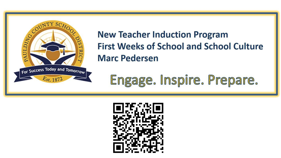

#### **New Teacher Induction Program First Weeks of School and School Culture Marc Pedersen**

Engage. Inspire. Prepare.

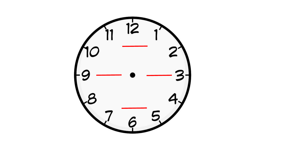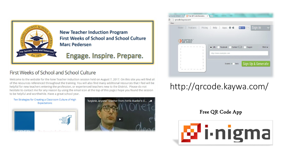

#### **New Teacher Induction Program First Weeks of School and School Culture Marc Pedersen**

Engage. Inspire. Prepare.

#### First Weeks of School and School Culture

Welcome to the website for the New Teacher Induction session held on August 7, 2017. On this site you will find all of the resources referenced throughout the training. You will also find many additional resources that I feel will be helpful for new teachers entering the profession, or experienced teachers new to the District. Please do not hesitate to contact me for any reason by using the email icon at the top of this page. I hope you found the session to be helpful and worthwhile. Have a great school year.





| G.     | grcode.kaywa.com                                   |                                                                                                            |
|--------|----------------------------------------------------|------------------------------------------------------------------------------------------------------------|
| A Marc |                                                    |                                                                                                            |
|        | Features<br>Pricing<br>Home                        | Sign in<br>Help  <br>Apps: $\oplus$<br>$\left  \frac{1}{2} \right $ Like $\left  \frac{1}{2} \right $ 8.7k |
|        | <b>WA</b> <sup>TM</sup><br>K A V<br><b>QR CODE</b> |                                                                                                            |
|        |                                                    | Contact BETA<br>$\bullet$ URL<br>Facebook<br>Coupon<br>More ~                                              |
|        |                                                    | http://www.example.com                                                                                     |
|        |                                                    |                                                                                                            |
|        |                                                    | Sign Up & Generate<br>Dynamic<br>Static                                                                    |

#### http://qrcode.kaywa.com/

Free QR Code App

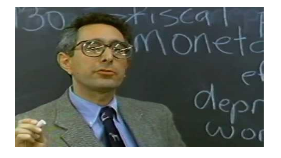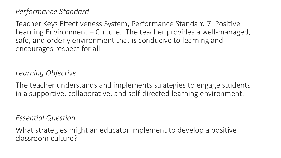#### *Performance Standard*

Teacher Keys Effectiveness System, Performance Standard 7: Positive Learning Environment – Culture. The teacher provides a well-managed, safe, and orderly environment that is conducive to learning and encourages respect for all.

#### *Learning Objective*

The teacher understands and implements strategies to engage students in a supportive, collaborative, and self-directed learning environment.

*Essential Question*

What strategies might an educator implement to develop a positive classroom culture?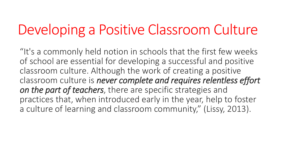### Developing a Positive Classroom Culture

"It's a commonly held notion in schools that the first few weeks of school are essential for developing a successful and positive classroom culture. Although the work of creating a positive classroom culture is *never complete and requires relentless effort on the part of teachers*, there are specific strategies and practices that, when introduced early in the year, help to foster a culture of learning and classroom community," (Lissy, 2013).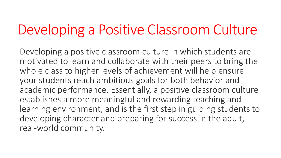## Developing a Positive Classroom Culture

Developing a positive classroom culture in which students are motivated to learn and collaborate with their peers to bring the whole class to higher levels of achievement will help ensure your students reach ambitious goals for both behavior and academic performance. Essentially, a positive classroom culture establishes a more meaningful and rewarding teaching and learning environment, and is the first step in guiding students to developing character and preparing for success in the adult, real-world community.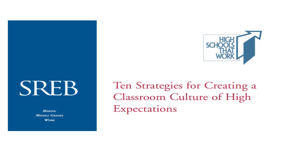

# **SREB**

**MAKING MIDDLE GRADES WORK** 

Ten Strategies for Creating a Classroom Culture of High Expectations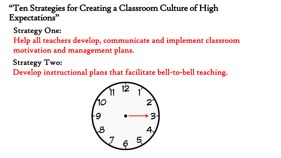Strategy One:

Help all teachers develop, communicate and implement classroom motivation and management plans.

Strategy Two:

Develop instructional plans that facilitate bell-to-bell teaching.

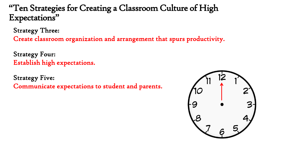Strategy Three: Create classroom organization and arrangement that spurs productivity.

Strategy Four: Establish high expectations.

Strategy Five: Communicate expectations to student and parents.

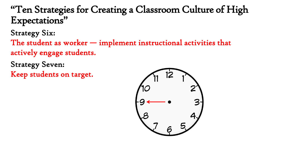Strategy Six:

The student as worker — implement instructional activities that actively engage students.

Strategy Seven: Keep students on target.

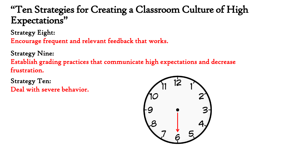Strategy Eight:

Encourage frequent and relevant feedback that works.

Strategy Nine: Establish grading practices that communicate high expectations and decrease frustration.

Strategy Ten: Deal with severe behavior.

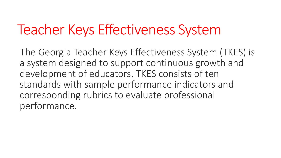### Teacher Keys Effectiveness System

The Georgia Teacher Keys Effectiveness System (TKES) is a system designed to support continuous growth and development of educators. TKES consists of ten standards with sample performance indicators and corresponding rubrics to evaluate professional performance.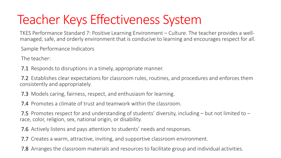### Teacher Keys Effectiveness System

TKES Performance Standard 7: Positive Learning Environment – Culture. The teacher provides a wellmanaged, safe, and orderly environment that is conducive to learning and encourages respect for all.

Sample Performance Indicators

The teacher:

**7.1** Responds to disruptions in a timely, appropriate manner.

7.2 Establishes clear expectations for classroom rules, routines, and procedures and enforces them consistently and appropriately.

7.3 Models caring, fairness, respect, and enthusiasm for learning.

7.4 Promotes a climate of trust and teamwork within the classroom.

7.5 Promotes respect for and understanding of students' diversity, including – but not limited to – race, color, religion, sex, national origin, or disability.

7.6 Actively listens and pays attention to students' needs and responses.

7.7 Creates a warm, attractive, inviting, and supportive classroom environment.

7.8 Arranges the classroom materials and resources to facilitate group and individual activities.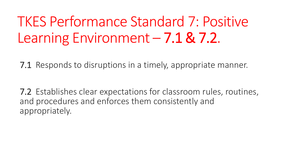## TKES Performance Standard 7: Positive Learning Environment – 7.1 & 7.2.

7.1 Responds to disruptions in a timely, appropriate manner.

7.2 Establishes clear expectations for classroom rules, routines, and procedures and enforces them consistently and appropriately.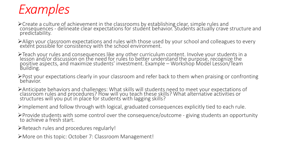

> Create a culture of achievement in the classrooms by establishing clear, simple rules and consequences - delineate clear expectations for student behavior. Students actually crave structure and predictability.

>Align your classroom expectations and rules with those used by your school and colleagues to every extent possible for consistency with the school environment.

>Teach your rules and consequences like any other curriculum content. Involve your students in a lesson and/or discussion on the need for rules to better understand the purpose, recogniz<u>e</u> the positive aspects, and maximize students' investment. Example – Workshop Modél Lesson/Team Building.

Post your expectations clearly in your classroom and refer back to them when praising or confronting behavior.

Anticipate behaviors and challenges: What skills will students need to meet your expectations of classroom rules and procedures? How will you teach these skills? What alternative activities or structures will you put in place for students with lagging skills?

Implement and follow through with logical, graduated consequences explicitly tied to each rule.

 $\triangleright$  Provide students with some control over the consequence/outcome - giving students an opportunity to achieve a fresh start.

Reteach rules and procedures regularly!

More on this topic: October 7: Classroom Management!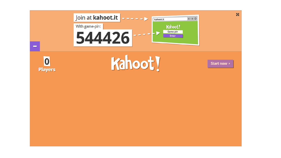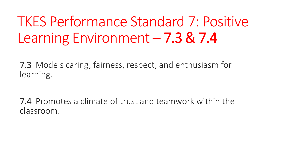## TKES Performance Standard 7: Positive Learning Environment – 7.3 & 7.4

7.3 Models caring, fairness, respect, and enthusiasm for learning.

7.4 Promotes a climate of trust and teamwork within the classroom.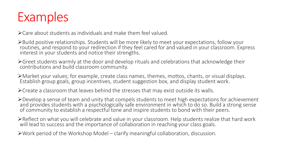### Examples

Care about students as individuals and make them feel valued.

Build positive relationships. Students will be more likely to meet your expectations, follow your routines, and respond to your redirection if they feel cared for and valued in your classroom. Express interest in your students and notice their strengths.

 $\triangleright$  Greet students warmly at the door and develop rituals and celebrations that acknowledge their contributions and build classroom community.

Market your values; for example, create class names, themes, mottos, chants, or visual displays. Establish group goals, group incentives, student suggestion box, and display student work.

 $\triangleright$  Create a classroom that leaves behind the stresses that may exist outside its walls.

Develop a sense of team and unity that compels students to meet high expectations for achievement and provides students with a psychologically safe environment in which to do so. Build a strong sense of community to establish a respectful tone and inspire students to bond with their peers.

Reflect on what you will celebrate and value in your classroom. Help students realize that hard work will lead to success and the importance of collaboration in reaching your class goals.

 $\triangleright$  Work period of the Workshop Model – clarify meaningful collaboration, discussion.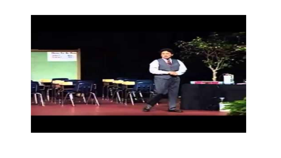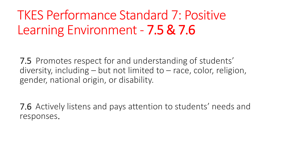### TKES Performance Standard 7: Positive Learning Environment - 7.5 & 7.6

7.5 Promotes respect for and understanding of students' diversity, including – but not limited to – race, color, religion, gender, national origin, or disability.

7.6 Actively listens and pays attention to students' needs and responses.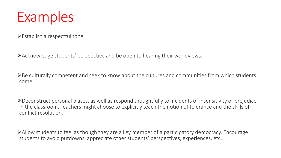

 $\triangleright$  Establish a respectful tone.

Acknowledge students' perspective and be open to hearing their worldviews.

 $\triangleright$  Be culturally competent and seek to know about the cultures and communities from which students come.

 $\triangleright$  Deconstruct personal biases, as well as respond thoughtfully to incidents of insensitivity or prejudice in the classroom. Teachers might choose to explicitly teach the notion of tolerance and the skills of conflict resolution.

Allow students to feel as though they are a key member of a participatory democracy. Encourage students to avoid putdowns, appreciate other students' perspectives, experiences, etc.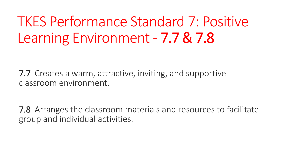## TKES Performance Standard 7: Positive Learning Environment - 7.7 & 7.8

7.7 Creates a warm, attractive, inviting, and supportive classroom environment.

7.8 Arranges the classroom materials and resources to facilitate group and individual activities.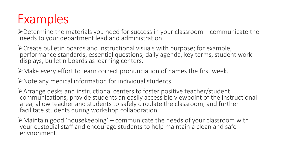### Examples

 $\triangleright$  Determine the materials you need for success in your classroom – communicate the needs to your department lead and administration.

Create bulletin boards and instructional visuals with purpose; for example, performance standards, essential questions, daily agenda, key terms, student work displays, bulletin boards as learning centers.

Make every effort to learn correct pronunciation of names the first week.

Note any medical information for individual students.

Arrange desks and instructional centers to foster positive teacher/student communications, provide students an easily accessible viewpoint of the instructional area, allow teacher and students to safely circulate the classroom, and further facilitate students during workshop collaboration.

 $\triangleright$  Maintain good 'housekeeping' – communicate the needs of your classroom with your custodial staff and encourage students to help maintain a clean and safe environment.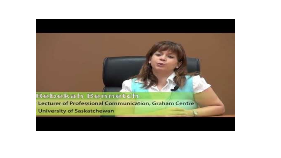#### Rebekah Bennetch

Lecturer of Professional Communication, Graham Centre

**University of Saskatchewan**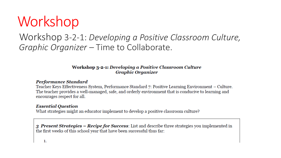## Workshop

#### Workshop 3-2-1: Developing a Positive Classroom Culture, Graphic Organizer - Time to Collaborate.

#### **Workshop 3-2-1: Developing a Positive Classroom Culture Graphic Organizer**

#### Performance Standard

Teacher Keys Effectiveness System, Performance Standard 7: Positive Learning Environment – Culture. The teacher provides a well-managed, safe, and orderly environment that is conducive to learning and encourages respect for all.

#### **Essential Question**

What strategies might an educator implement to develop a positive classroom culture?

3 Present Strategies – Recipe for Success: List and describe three strategies you implemented in the first weeks of this school year that have been successful thus far:

1.